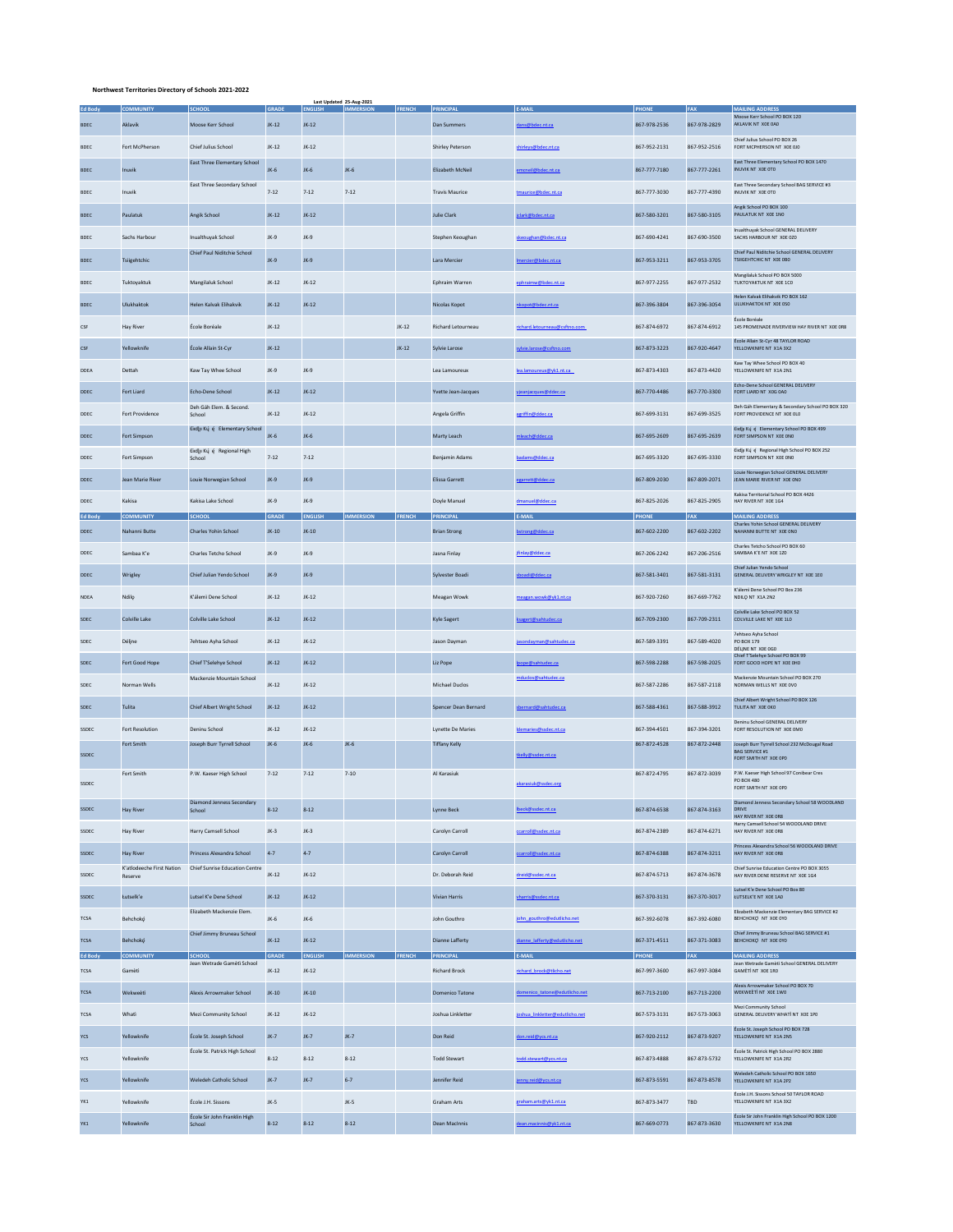## **Northwest Territories Directory of Schools 2021-2022**

|                | <b>COMMUNITY</b>                     | <b>SCHOOL</b>                               | <b>GRADE</b> | <b>ENGLISH</b> | Last Updated 25-Aug-2021<br><b>IMMERSION</b> | FRENCH PRINCIPAL |                          | E-MAIL                          | <b>PHONE</b> | FAX          | <b>MAILING ADDRESS</b>                                                             |
|----------------|--------------------------------------|---------------------------------------------|--------------|----------------|----------------------------------------------|------------------|--------------------------|---------------------------------|--------------|--------------|------------------------------------------------------------------------------------|
| <b>BDEC</b>    | Aklavik                              | Moose Kerr School                           | $JK-12$      | $JK-12$        |                                              |                  | Dan Summers              | ans@bdec.nt.ca                  | 867-978-2536 | 867-978-2829 | Moose Kerr School PO BOX 120<br>AKLAVIK NT XOE 0A0                                 |
| <b>BDEC</b>    | Fort McPherson                       | Chief Julius School                         | $JK-12$      | $JK-12$        |                                              |                  | <b>Shirley Peterson</b>  | shirleys@bdec.nt.ca             | 867-952-2131 | 867-952-2516 | Chief Julius School PO BOX 26<br>FORT MCPHERSON NT X0E 0J0                         |
| <b>BDEC</b>    | Inuvik                               | <b>East Three Elementary School</b>         | JK-6         | JK-6           | JK-6                                         |                  | Elizabeth McNeil         | neil@bdec.nt.ca                 | 867-777-7180 | 867-777-2261 | East Three Elementary School PO BOX 1470<br>INUVIK NT X0E 0TO                      |
| <b>BDEC</b>    | Inuvik                               | <b>East Three Secondary School</b>          | $7 - 12$     | $7 - 12$       | $7 - 12$                                     |                  | <b>Travis Maurice</b>    | tmaurice@bdec.nt.ca             | 867-777-3030 | 867-777-4390 | East Three Secondary School BAG SERVICE #3<br>INUVIK NT X0E 0TO                    |
| <b>BDEC</b>    | Paulatuk                             | Angik School                                | JK-12        | $JK-12$        |                                              |                  | <b>Julie Clark</b>       | dark@bdec.nt.ca                 | 867-580-3201 | 867-580-3105 | Angik School PO BOX 100<br>PAULATUK NT XOE 1NO                                     |
| <b>BDEC</b>    | Sachs Harbour                        | Inualthuyak School                          | JK-9         | $JK-9$         |                                              |                  | Stephen Keoughan         | skeoughan@bdec.nt.ca            | 867-690-4241 | 867-690-3500 | Inualthuvak School GENERAL DELIVERY<br>SACHS HARBOUR NT X0E 020                    |
|                |                                      | Chief Paul Niditchie School                 |              |                |                                              |                  | Lara Mercier             |                                 |              |              | Chief Paul Niditchie School GENERAL DELIVERY                                       |
| <b>BDEC</b>    | Tsiigehtchic                         |                                             | $JK-9$       | $JK-9$         |                                              |                  |                          | ercier@bdec.nt.ca               | 867-953-3211 | 867-953-3705 | TSIIGEHTCHIC NT X0E 0B0<br>Mangilaluk School PO BOX 5000                           |
| <b>BDEC</b>    | Tuktoyaktuk                          | Mangilaluk School                           | $JK-12$      | $JK-12$        |                                              |                  | Ephraim Warren           | phraimw@bdec.nt.ca              | 867-977-2255 | 867-977-2532 | TUKTOYAKTUK NT X0E 1C0<br>Helen Kalvak Elihakvik PO BOX 162                        |
| <b>BDEC</b>    | Ulukhaktok                           | Helen Kalvak Elihakvik                      | $JK-12$      | $JK-12$        |                                              |                  | Nicolas Kopot            | nnt@bdec.nt.ca                  | 867-396-3804 | 867-396-3054 | ULUKHAKTOK NT X0E 0S0<br>École Boréale                                             |
| CSF            | <b>Hay River</b>                     | École Boréale                               | $JK-12$      |                |                                              | JK-12            | Richard Letourneau       | richard.letourneau@csftno.com   | 867-874-6972 | 867-874-6912 | 145 PROMENADE RIVERVIEW HAY RIVER NT XOE OR8<br>École Allain St-Cyr 48 TAYLOR ROAD |
| CSF            | Yellowknife                          | École Allain St-Cyr                         | $JK-12$      |                |                                              | $JK-12$          | Sylvie Larose            | ylvie.larose@csftno.com         | 867-873-3223 | 867-920-4647 | YELLOWKNIFE NT X1A 3X2<br>Kaw Tay Whee School PO BOX 40                            |
| <b>DDEA</b>    | Dettah                               | Kaw Tay Whee School                         | JK-9         | JK-9           |                                              |                  | Lea Lamoureux            | ea.lamoureux@vk1.nt.ca          | 867-873-4303 | 867-873-4420 | YELLOWKNIFE NT X1A 2N1                                                             |
| DDEC           | Fort Liard                           | Echo-Dene School                            | JK-12        | $JK-12$        |                                              |                  | Yvette Jean-Jacques      | anjacques@ddec.ca               | 867-770-4486 | 867-770-3300 | Echo-Dene School GENERAL DELIVERY<br>FORT LIARD NT XOG 0A0                         |
| <b>DDEC</b>    | Fort Providence                      | Deh Gáh Elem, & Second.<br>School           | $JK-12$      | $JK-12$        |                                              |                  | Angela Griffin           | eriffin@ddec.ca                 | 867-699-3131 | 867-699-3525 | Deh Gáh Elementary & Secondary School PO BOX 320<br>FORT PROVIDENCE NT X0E OLO     |
| DDEC           | Fort Simpson                         | Łidlji Kų́ ę Elementary School              | JK-6         | JK-6           |                                              |                  | Marty Leach              | leach@ddec.ca                   | 867-695-2609 | 867-695-2639 | Eirdju Krij e Elementary School PO BOX 499<br>FORT SIMPSON NT XOE ONO              |
| <b>DDEC</b>    | Fort Simpson                         | Eindlu Ku é Regional High<br>School         | $7 - 12$     | $7 - 12$       |                                              |                  | Benjamin Adams           | adams@ddec.ca                   | 867-695-3320 | 867-695-3330 | Eirdju Kuj é Regional High School PO BOX 252<br>FORT SIMPSON NT X0E ONO            |
| DDEC           | Jean Marie River                     | Louie Norwegian School                      | $JK-9$       | $JK-9$         |                                              |                  | <b>Elissa Garrett</b>    | garrett@ddec.ca                 | 867-809-2030 | 867-809-2071 | Louie Norwegian School GENERAL DELIVERY<br>JEAN MARIE RIVER NT XOE ONO             |
| DDEC           | Kakisa                               | Kakisa Lake School                          | JK-9         | JK-9           |                                              |                  | Doyle Manuel             | dmanuel@ddec.ca                 | 867-825-2026 | 867-825-2905 | Kakisa Territorial School PO BOX 4426<br>HAY RIVER NT XOE 1G4                      |
| <b>Ed Body</b> | <b>COMMUNITY</b>                     | <b>SCHOOL</b>                               | <b>GRADE</b> | <b>ENGLISH</b> | <b>IMMERSION</b>                             | FRENCH           | PRINCIPAL                | E-MAIL                          | <b>PHONE</b> | <b>FAX</b>   | <b>MAILING ADDRESS</b><br>Charles Yohin School GENERAL DELIVERY                    |
| DDEC           | Nahanni Butte                        | Charles Yohin School                        | JK-10        | JK-10          |                                              |                  | <b>Brian Strong</b>      | strong@ddec.ca                  | 867-602-2200 | 867-602-2202 | NAHANNI BUTTE NT XOE ONO                                                           |
| DDEC           | Sambaa K'e                           | Charles Tetcho School                       | JK-9         | JK-9           |                                              |                  | Jasna Finlay             | finlay@ddec.ca                  | 867-206-2242 | 867-206-2516 | Charles Tetcho School PO BOX 60<br>SAMBAA K'E NT XOE 120                           |
| <b>DDEC</b>    | Wrigley                              | Chief Julian Yendo School                   | $JK-9$       | $JK-9$         |                                              |                  | Sylvester Boadi          | badi@ddec.ca                    | 867-581-3401 | 867-581-3131 | Chief Julian Yendo School<br>GENERAL DELIVERY WRIGLEY NT X0E 1E0                   |
| <b>NDEA</b>    | Ndilo                                | K'álemì Dene School                         | $JK-12$      | $JK-12$        |                                              |                  | Meagan Wowk              | meagan.wowk@yk1.nt.ca           | 867-920-7260 | 867-669-7762 | K'álemi Dene School PO Box 236<br>NDILQ NT X1A 2N2                                 |
| <b>SDEC</b>    | Colville Lake                        | Colville Lake School                        | $JK-12$      | $JK-12$        |                                              |                  | Kyle Sagert              | agert@sahtudec.ca               | 867-709-2300 | 867-709-2311 | Colville Lake School PO BOX 52<br>COLVILLE LAKE NT XOE 1LO                         |
| SDEC           | Déline                               | Pehtseo Ayha School                         | JK-12        | $JK-12$        |                                              |                  | Jason Dayman             | asondayman@sahtudec.ca          | 867-589-3391 | 867-589-4020 | <b>Pehtseo Ayha School</b><br>PO BOX 179                                           |
| <b>SDEC</b>    | Fort Good Hope                       | Chief T'Selehve School                      | $JK-12$      | $JK-12$        |                                              |                  | Liz Pope                 | e@sahtudec.ca                   | 867-598-2288 | 867-598-2025 | DÉLINE NT XOE OGO<br>Chief T'Selehye School PO BOX 99<br>FORT GOOD HOPE NT X0E OHO |
| <b>SDEC</b>    | Norman Wells                         | Mackenzie Mountain School                   | JK-12        | $JK-12$        |                                              |                  | Michael Duclos           | nduclos@sahtudec.ca             | 867-587-2286 | 867-587-2118 | Mackenzie Mountain School PO BOX 270<br>NORMAN WELLS NT X0E 0V0                    |
| <b>SDEC</b>    | Tulita                               | Chief Albert Wright School                  | $JK-12$      | $JK-12$        |                                              |                  | Spencer Dean Bernard     | ernard@sahtudec.ca              | 867-588-4361 | 867-588-3912 | Chief Albert Wright School PO BOX 126<br>TULITA NT XOE OKO                         |
| SSDEC          | Fort Resolution                      | Deninu School                               | $JK-12$      | $JK-12$        |                                              |                  | <b>Lynette De Maries</b> | demaries@ssdec.nt.ca            | 867-394-4501 | 867-394-3201 | Deninu School GENERAL DELIVERY<br>FORT RESOLUTION NT XOE 0M0                       |
|                | Fort Smith                           | Joseph Burr Tyrrell School                  | JK-6         | JK-6           | JK-6                                         |                  | <b>Tiffany Kelly</b>     |                                 | 867-872-4528 | 867-872-2448 | Joseph Burr Tyrrell School 232 McDougal Road<br><b>BAG SERVICE #1</b>              |
| <b>SSDEC</b>   | Fort Smith                           | P.W. Kaeser High School                     | $7 - 12$     | $7 - 12$       | $7 - 10$                                     |                  | Al Karasiuk              | kelly@ssdec.nt.ca               | 867-872-4795 | 867-872-3039 | FORT SMITH NT XOE OPO<br>P.W. Kaeser High School 97 Conibear Cres                  |
| SSDEC          |                                      |                                             |              |                |                                              |                  |                          | akarasiuk@ssdec.org             |              |              | PO BOX 480<br>FORT SMITH NT X0E OPO                                                |
| SSDEC          | <b>Hay River</b>                     | <b>Diamond Jenness Secondary</b><br>School  | $8 - 12$     | $8 - 12$       |                                              |                  | <b>Lynne Beck</b>        | eck@ssdec.nt.ca                 | 867-874-6538 | 867-874-3163 | Diamond Jenness Secondary School 58 WOODLAND<br>DRIVE<br>HAY RIVER NT XOE ORB      |
| <b>SSDEC</b>   | <b>Hay River</b>                     | Harry Camsell School                        | $JK-3$       | $JK-3$         |                                              |                  | Carolyn Carroll          | ccarroll@ssdec.nt.ca            | 867-874-2389 | 867-874-6271 | Harry Camsell School 54 WOODLAND DRIVE<br>HAY RIVER NT XOE ORB                     |
| SSDEC          | <b>Hay River</b>                     | Princess Alexandra School                   | $4 - 7$      | $4 - 7$        |                                              |                  | Carolyn Carroll          | carroll@ssdec.nt.ca             | 867-874-6388 | 867-874-3211 | Princess Alexandra School 56 WOODLAND DRIVE<br>HAY RIVER NT XOE ORB                |
| SSDEC          | K'atlodeeche First Nation<br>Reserve | Chief Sunrise Education Centre              | $JK-12$      | $JK-12$        |                                              |                  | Dr. Deborah Reid         | dreid@ssdec.nt.ca               | 867-874-5713 | 867-874-3678 | Chief Sunrise Education Centre PO BOX 3055<br>HAY RIVER DENE RESERVE NT XOF 1G4    |
| <b>SSDEC</b>   | Łutselk'e                            | Lutsel K'e Dene School                      | $JK-12$      | $JK-12$        |                                              |                  | Vivian Harris            | harris@ssdec.nt.ca              | 867-370-3131 | 867-370-3017 | Lutsel K'e Dene School PO Box 80<br><b>ŁUTSELK'E NT XOE 1AO</b>                    |
| <b>TCSA</b>    | Behchoko                             | Elizabeth Mackenzie Elem.                   | JK-6         | JK-6           |                                              |                  | John Gouthro             | john_gouthro@edutlicho.net      | 867-392-6078 | 867-392-6080 | Elizabeth Mackenzie Elementary BAG SERVICE #2<br>BEHCHOKQ NT X0E 0Y0               |
| <b>TCSA</b>    | Behchokó                             | Chief Jimmy Bruneau School                  | $JK-12$      | $JK-12$        |                                              |                  | <b>Dianne Lafferty</b>   | lianne lafferty@edutlicho.net   | 867-371-4511 | 867-371-3083 | Chief Jimmy Bruneau School BAG SERVICE #1<br>BEHCHOKQ NT XOE 0YO                   |
| <b>Ed Body</b> | <b>COMMUNITY</b>                     | <b>SCHOOL</b><br>Jean Wetrade Gamèti School | GRADE        | <b>ENGLISH</b> | <b>IMMERSION</b>                             | <b>FRENCH</b>    | PRINCIPAL                | F-MAIL                          | <b>PHONE</b> | FAX          | <b>MAILING ADDRESS</b><br>Jean Wetrade Gamèti School GENERAL DELIVERY              |
| <b>TCSA</b>    | Gamèti                               |                                             | $JK-12$      | $JK-12$        |                                              |                  | <b>Richard Brock</b>     | richard brock@tlicho.net        | 867-997-3600 | 867-997-3084 | GAMÈTÌ NT XOE 1RO<br>Alexis Arrowmaker School PO BOX 70                            |
| TCSA           | Wekweeti                             | Alexis Arrowmaker School                    | JK-10        | $JK-10$        |                                              |                  | Domenico Tatone          | nenico tatone@edutlicho.net     | 867-713-2100 | 867-713-2200 | WEKWEETI NT XOE 1WO<br>Mezi Community School                                       |
| <b>TCSA</b>    | Whati                                | Mezi Community School                       | $JK-12$      | $JK-12$        |                                              |                  | Joshua Linkletter        | ioshua linkletter@edutlicho.net | 867-573-3131 | 867-573-3063 | GENERAL DELIVERY WHATI NT XOE 1PO                                                  |
| <b>YCS</b>     | Yellowknife                          | École St. Joseph School                     | $JK -7$      | $JK-7$         | $JK-7$                                       |                  | Don Reid                 | lon.reid@ycs.nt.ca              | 867-920-2112 | 867-873-9207 | École St. Joseph School PO BOX 728<br>YELLOWKNIFE NT X1A 2NS                       |
| YCS            | Yellowknife                          | École St. Patrick High School               | $8 - 12$     | $8 - 12$       | $8 - 12$                                     |                  | <b>Todd Stewart</b>      | todd.stewart@ycs.nt.ca          | 867-873-4888 | 867-873-5732 | École St. Patrick High School PO BOX 2880<br>YELLOWKNIFE NT X1A 2R2                |
| YCS            | Yellowknife                          | Weledeh Catholic School                     | JK-7         | $JK-7$         | $6 - 7$                                      |                  | Jennifer Reid            | nny.reid@ycs.nt.ca              | 867-873-5591 | 867-873-8578 | Weledeh Catholic School PO BOX 1650<br>YELLOWKNIFE NT X1A 2P2                      |
| YK1            | Yellowknife                          | École J.H. Sissons                          | $JK-5$       |                | $JK-5$                                       |                  | Graham Arts              | graham.arts@yk1.nt.ca           | 867-873-3477 | <b>TBD</b>   | École J.H. Sissons School 50 TAYLOR ROAD<br>YELLOWKNIFE NT X1A 3X2                 |
| YK1            | Yellowknife                          | École Sir John Franklin High<br>School      | $8 - 12$     | $8 - 12$       | $8 - 12$                                     |                  | Dean MacInnis            | lean.macinnis@yk1.nt.ca         | 867-669-0773 | 867-873-3630 | École Sir John Franklin High School PO BOX 1200<br>YELLOWKNIFE NT X1A 2N8          |